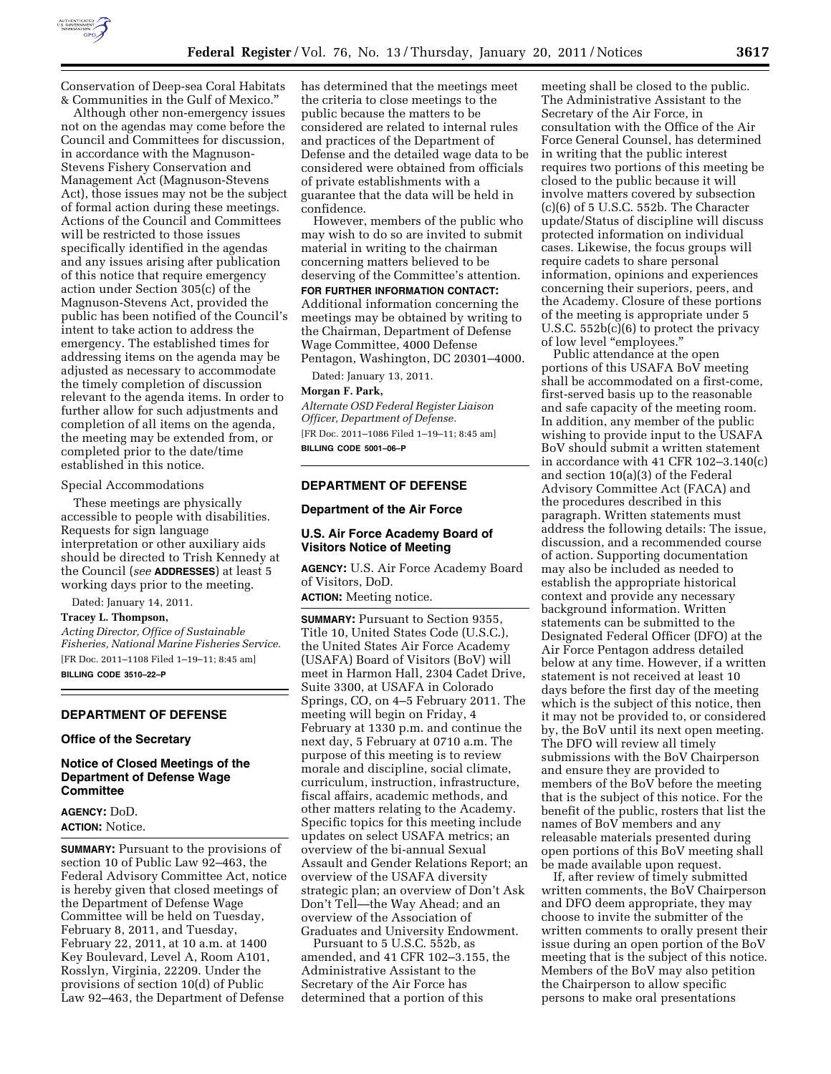

Conservation of Deep-sea Coral Habitats & Communities in the Gulf of Mexico.''

Although other non-emergency issues not on the agendas may come before the Council and Committees for discussion, in accordance with the Magnuson-Stevens Fishery Conservation and Management Act (Magnuson-Stevens Act), those issues may not be the subject of formal action during these meetings. Actions of the Council and Committees will be restricted to those issues specifically identified in the agendas and any issues arising after publication of this notice that require emergency action under Section 305(c) of the Magnuson-Stevens Act, provided the public has been notified of the Council's intent to take action to address the emergency. The established times for addressing items on the agenda may be adjusted as necessary to accommodate the timely completion of discussion relevant to the agenda items. In order to further allow for such adjustments and completion of all items on the agenda, the meeting may be extended from, or completed prior to the date/time established in this notice.

#### Special Accommodations

These meetings are physically accessible to people with disabilities. Requests for sign language interpretation or other auxiliary aids should be directed to Trish Kennedy at the Council (*see* **ADDRESSES**) at least 5 working days prior to the meeting.

Dated: January 14, 2011.

**Tracey L. Thompson,** 

*Acting Director, Office of Sustainable Fisheries, National Marine Fisheries Service.*  [FR Doc. 2011–1108 Filed 1–19–11; 8:45 am] **BILLING CODE 3510–22–P** 

#### **DEPARTMENT OF DEFENSE**

#### **Office of the Secretary**

### **Notice of Closed Meetings of the Department of Defense Wage Committee**

### **AGENCY:** DoD. **ACTION:** Notice.

**SUMMARY:** Pursuant to the provisions of section 10 of Public Law 92–463, the Federal Advisory Committee Act, notice is hereby given that closed meetings of the Department of Defense Wage Committee will be held on Tuesday, February 8, 2011, and Tuesday, February 22, 2011, at 10 a.m. at 1400 Key Boulevard, Level A, Room A101, Rosslyn, Virginia, 22209. Under the provisions of section 10(d) of Public Law 92–463, the Department of Defense

has determined that the meetings meet the criteria to close meetings to the public because the matters to be considered are related to internal rules and practices of the Department of Defense and the detailed wage data to be considered were obtained from officials of private establishments with a guarantee that the data will be held in confidence.

However, members of the public who may wish to do so are invited to submit material in writing to the chairman concerning matters believed to be deserving of the Committee's attention. **FOR FURTHER INFORMATION CONTACT:** 

Additional information concerning the meetings may be obtained by writing to the Chairman, Department of Defense Wage Committee, 4000 Defense Pentagon, Washington, DC 20301–4000.

Dated: January 13, 2011.

## **Morgan F. Park,**

*Alternate OSD Federal Register Liaison Officer, Department of Defense.*  [FR Doc. 2011–1086 Filed 1–19–11; 8:45 am] **BILLING CODE 5001–06–P** 

### **DEPARTMENT OF DEFENSE**

#### **Department of the Air Force**

### **U.S. Air Force Academy Board of Visitors Notice of Meeting**

**AGENCY:** U.S. Air Force Academy Board of Visitors, DoD.

**ACTION:** Meeting notice.

**SUMMARY:** Pursuant to Section 9355, Title 10, United States Code (U.S.C.), the United States Air Force Academy (USAFA) Board of Visitors (BoV) will meet in Harmon Hall, 2304 Cadet Drive, Suite 3300, at USAFA in Colorado Springs, CO, on 4–5 February 2011. The meeting will begin on Friday, 4 February at 1330 p.m. and continue the next day, 5 February at 0710 a.m. The purpose of this meeting is to review morale and discipline, social climate, curriculum, instruction, infrastructure, fiscal affairs, academic methods, and other matters relating to the Academy. Specific topics for this meeting include updates on select USAFA metrics; an overview of the bi-annual Sexual Assault and Gender Relations Report; an overview of the USAFA diversity strategic plan; an overview of Don't Ask Don't Tell—the Way Ahead; and an overview of the Association of Graduates and University Endowment.

Pursuant to 5 U.S.C. 552b, as amended, and 41 CFR 102–3.155, the Administrative Assistant to the Secretary of the Air Force has determined that a portion of this

meeting shall be closed to the public. The Administrative Assistant to the Secretary of the Air Force, in consultation with the Office of the Air Force General Counsel, has determined in writing that the public interest requires two portions of this meeting be closed to the public because it will involve matters covered by subsection (c)(6) of 5 U.S.C. 552b. The Character update/Status of discipline will discuss protected information on individual cases. Likewise, the focus groups will require cadets to share personal information, opinions and experiences concerning their superiors, peers, and the Academy. Closure of these portions of the meeting is appropriate under 5 U.S.C. 552b(c)(6) to protect the privacy of low level "employees."

Public attendance at the open portions of this USAFA BoV meeting shall be accommodated on a first-come, first-served basis up to the reasonable and safe capacity of the meeting room. In addition, any member of the public wishing to provide input to the USAFA BoV should submit a written statement in accordance with 41 CFR 102–3.140(c) and section 10(a)(3) of the Federal Advisory Committee Act (FACA) and the procedures described in this paragraph. Written statements must address the following details: The issue, discussion, and a recommended course of action. Supporting documentation may also be included as needed to establish the appropriate historical context and provide any necessary background information. Written statements can be submitted to the Designated Federal Officer (DFO) at the Air Force Pentagon address detailed below at any time. However, if a written statement is not received at least 10 days before the first day of the meeting which is the subject of this notice, then it may not be provided to, or considered by, the BoV until its next open meeting. The DFO will review all timely submissions with the BoV Chairperson and ensure they are provided to members of the BoV before the meeting that is the subject of this notice. For the benefit of the public, rosters that list the names of BoV members and any releasable materials presented during open portions of this BoV meeting shall be made available upon request.

If, after review of timely submitted written comments, the BoV Chairperson and DFO deem appropriate, they may choose to invite the submitter of the written comments to orally present their issue during an open portion of the BoV meeting that is the subject of this notice. Members of the BoV may also petition the Chairperson to allow specific persons to make oral presentations